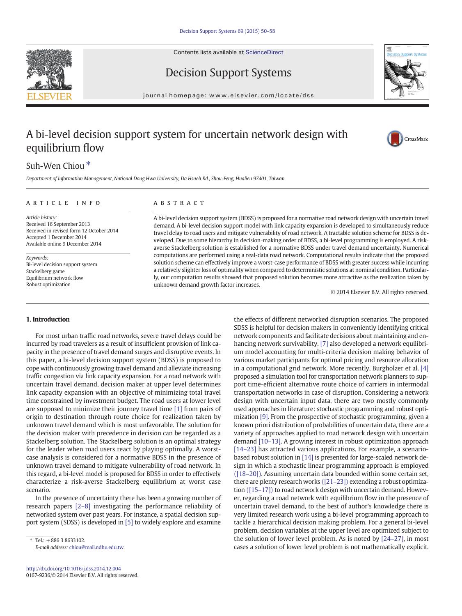Contents lists available at [ScienceDirect](http://www.sciencedirect.com/science/journal/01679236)





## Decision Support Systems

journal homepage: www.elsevier.com/locate/dss

## A bi-level decision support system for uncertain network design with equilibrium flow



## Suh-Wen Chiou<sup>\*</sup>

Department of Information Management, National Dong Hwa University, Da Hsueh Rd., Shou-Feng, Hualien 97401, Taiwan

### article info abstract

Article history: Received 16 September 2013 Received in revised form 12 October 2014 Accepted 1 December 2014 Available online 9 December 2014

Keywords: Bi-level decision support system Stackelberg game Equilibrium network flow Robust optimization

A bi-level decision support system (BDSS) is proposed for a normative road network design with uncertain travel demand. A bi-level decision support model with link capacity expansion is developed to simultaneously reduce travel delay to road users and mitigate vulnerability of road network. A tractable solution scheme for BDSS is developed. Due to some hierarchy in decision-making order of BDSS, a bi-level programming is employed. A riskaverse Stackelberg solution is established for a normative BDSS under travel demand uncertainty. Numerical computations are performed using a real-data road network. Computational results indicate that the proposed solution scheme can effectively improve a worst-case performance of BDSS with greater success while incurring a relatively slighter loss of optimality when compared to deterministic solutions at nominal condition. Particularly, our computation results showed that proposed solution becomes more attractive as the realization taken by unknown demand growth factor increases.

© 2014 Elsevier B.V. All rights reserved.

### 1. Introduction

For most urban traffic road networks, severe travel delays could be incurred by road travelers as a result of insufficient provision of link capacity in the presence of travel demand surges and disruptive events. In this paper, a bi-level decision support system (BDSS) is proposed to cope with continuously growing travel demand and alleviate increasing traffic congestion via link capacity expansion. For a road network with uncertain travel demand, decision maker at upper level determines link capacity expansion with an objective of minimizing total travel time constrained by investment budget. The road users at lower level are supposed to minimize their journey travel time [\[1\]](#page--1-0) from pairs of origin to destination through route choice for realization taken by unknown travel demand which is most unfavorable. The solution for the decision maker with precedence in decision can be regarded as a Stackelberg solution. The Stackelberg solution is an optimal strategy for the leader when road users react by playing optimally. A worstcase analysis is considered for a normative BDSS in the presence of unknown travel demand to mitigate vulnerability of road network. In this regard, a bi-level model is proposed for BDSS in order to effectively characterize a risk-averse Stackelberg equilibrium at worst case scenario.

In the presence of uncertainty there has been a growing number of research papers [\[2](#page--1-0)–8] investigating the performance reliability of networked system over past years. For instance, a spatial decision support system (SDSS) is developed in [\[5\]](#page--1-0) to widely explore and examine

E-mail address: [chiou@mail.ndhu.edu.tw](mailto:chiou@mail.ndhu.edu.tw).

the effects of different networked disruption scenarios. The proposed SDSS is helpful for decision makers in conveniently identifying critical network components and facilitate decisions about maintaining and enhancing network survivability. [\[7\]](#page--1-0) also developed a network equilibrium model accounting for multi-criteria decision making behavior of various market participants for optimal pricing and resource allocation in a computational grid network. More recently, Burgholzer et al. [\[4\]](#page--1-0) proposed a simulation tool for transportation network planners to support time-efficient alternative route choice of carriers in intermodal transportation networks in case of disruption. Considering a network design with uncertain input data, there are two mostly commonly used approaches in literature: stochastic programming and robust optimization [\[9\]](#page--1-0). From the prospective of stochastic programming, given a known priori distribution of probabilities of uncertain data, there are a variety of approaches applied to road network design with uncertain demand [10–[13\].](#page--1-0) A growing interest in robust optimization approach [14–[23\]](#page--1-0) has attracted various applications. For example, a scenariobased robust solution in [\[14\]](#page--1-0) is presented for large-scaled network design in which a stochastic linear programming approach is employed ([18–[20\]\).](#page--1-0) Assuming uncertain data bounded within some certain set, there are plenty research works [\(\[21](#page--1-0)–23]) extending a robust optimization [\(\[15](#page--1-0)–17]) to road network design with uncertain demand. However, regarding a road network with equilibrium flow in the presence of uncertain travel demand, to the best of author's knowledge there is very limited research work using a bi-level programming approach to tackle a hierarchical decision making problem. For a general bi-level problem, decision variables at the upper level are optimized subject to the solution of lower level problem. As is noted by [\[24](#page--1-0)–27], in most cases a solution of lower level problem is not mathematically explicit.

 $Tel: +88638633102.$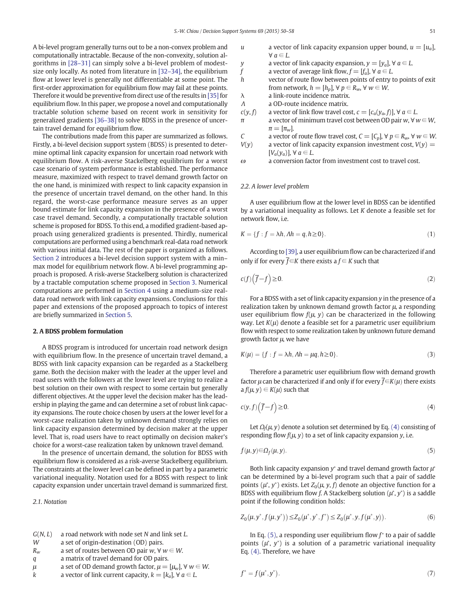A bi-level program generally turns out to be a non-convex problem and computationally intractable. Because of the non-convexity, solution algorithms in [28–[31\]](#page--1-0) can simply solve a bi-level problem of modestsize only locally. As noted from literature in [32–[34\],](#page--1-0) the equilibrium flow at lower level is generally not differentiable at some point. The first-order approximation for equilibrium flow may fail at these points. Therefore it would be preventive from direct use of the results in  $[35]$  for equilibrium flow. In this paper, we propose a novel and computationally tractable solution scheme based on recent work in sensitivity for generalized gradients [\[36](#page--1-0)–38] to solve BDSS in the presence of uncertain travel demand for equilibrium flow.

The contributions made from this paper are summarized as follows. Firstly, a bi-level decision support system (BDSS) is presented to determine optimal link capacity expansion for uncertain road network with equilibrium flow. A risk-averse Stackelberg equilibrium for a worst case scenario of system performance is established. The performance measure, maximized with respect to travel demand growth factor on the one hand, is minimized with respect to link capacity expansion in the presence of uncertain travel demand, on the other hand. In this regard, the worst-case performance measure serves as an upper bound estimate for link capacity expansion in the presence of a worst case travel demand. Secondly, a computationally tractable solution scheme is proposed for BDSS. To this end, a modified gradient-based approach using generalized gradients is presented. Thirdly, numerical computations are performed using a benchmark real-data road network with various initial data. The rest of the paper is organized as follows. Section 2 introduces a bi-level decision support system with a min– max model for equilibrium network flow. A bi-level programming approach is proposed. A risk-averse Stackelberg solution is characterized by a tractable computation scheme proposed in [Section 3.](#page--1-0) Numerical computations are performed in [Section 4](#page--1-0) using a medium-size realdata road network with link capacity expansions. Conclusions for this paper and extensions of the proposed approach to topics of interest are briefly summarized in [Section 5.](#page--1-0)

### 2. A BDSS problem formulation

A BDSS program is introduced for uncertain road network design with equilibrium flow. In the presence of uncertain travel demand, a BDSS with link capacity expansion can be regarded as a Stackelberg game. Both the decision maker with the leader at the upper level and road users with the followers at the lower level are trying to realize a best solution on their own with respect to some certain but generally different objectives. At the upper level the decision maker has the leadership in playing the game and can determine a set of robust link capacity expansions. The route choice chosen by users at the lower level for a worst-case realization taken by unknown demand strongly relies on link capacity expansion determined by decision maker at the upper level. That is, road users have to react optimally on decision maker's choice for a worst-case realization taken by unknown travel demand.

In the presence of uncertain demand, the solution for BDSS with equilibrium flow is considered as a risk-averse Stackelberg equilibrium. The constraints at the lower level can be defined in part by a parametric variational inequality. Notation used for a BDSS with respect to link capacity expansion under uncertain travel demand is summarized first.

2.1. Notation

- $G(N, L)$  a road network with node set N and link set L.
- W a set of origin-destination (OD) pairs.
- $R_w$  a set of routes between OD pair w,  $\forall w \in W$ .
- q a matrix of travel demand for OD pairs.
- μ a set of OD demand growth factor,  $μ = [μ<sub>w</sub>]$ ,  $∀ w ∈ W$ .
- k a vector of link current capacity,  $k = [k_a]$ ,  $\forall a \in L$ .
- u a vector of link capacity expansion upper bound,  $u = [u_a]$ ,  $\forall a \in I$ .
- y a vector of link capacity expansion,  $y = [y_a]$ ,  $\forall a \in L$ .
- f a vector of average link flow,  $f = [f_a]$ ,  $\forall a \in L$ .
- h vector of route flow between points of entry to points of exit from network,  $h = [h_p]$ ,  $\forall p \in R_w$ ,  $\forall w \in W$ .
- λ a link-route incidence matrix.
- Λ a OD-route incidence matrix.
- $c(y, f)$  a vector of link flow travel cost,  $c = [c_a(y_a, f)], \forall a \in L$ .
- $\pi$  a vector of minimum travel cost between OD pair w,  $\forall w \in W$ ,  $\pi = [\pi_w]$ .
- C a vector of route flow travel cost,  $C = [C_p]$ ,  $\forall p \in R_w$ ,  $\forall w \in W$ .

$$
V(y)
$$
 a vector of link capacity expansion investment cost,  $V(y) = [V_a(y_a)], \forall a \in L.$ 

ω a conversion factor from investment cost to travel cost.

### 2.2. A lower level problem

A user equilibrium flow at the lower level in BDSS can be identified by a variational inequality as follows. Let K denote a feasible set for network flow, i.e.

$$
K = \{f : f = \lambda h, \Lambda h = q, h \ge 0\}.
$$
\n<sup>(1)</sup>

According to [\[39\],](#page--1-0) a user equilibrium flow can be characterized if and only if for every  $\overline{f} \in K$  there exists a  $f \in K$  such that

$$
c(f)\left(\overline{f} - f\right) \ge 0. \tag{2}
$$

For a BDSS with a set of link capacity expansion y in the presence of a realization taken by unknown demand growth factor  $\mu$ , a responding user equilibrium flow  $f(\mu, y)$  can be characterized in the following way. Let  $K(\mu)$  denote a feasible set for a parametric user equilibrium flow with respect to some realization taken by unknown future demand growth factor  $\mu$ , we have

$$
K(\mu) = \{f : f = \lambda h, \Lambda h = \mu q, h \ge 0\}.
$$
\n(3)

Therefore a parametric user equilibrium flow with demand growth factor  $\mu$  can be characterized if and only if for every  $\overline{f} \in K(\mu)$  there exists a  $f(\mu, \nu) \in K(\mu)$  such that

$$
c(y, f)\left(\overline{f} - f\right) \ge 0. \tag{4}
$$

Let  $\Omega_f(\mu, \gamma)$  denote a solution set determined by Eq. (4) consisting of responding flow  $f(\mu, \gamma)$  to a set of link capacity expansion  $\gamma$ , i.e.

$$
f(\mu, y) \in \Omega_f(\mu, y). \tag{5}
$$

Both link capacity expansion  $y^*$  and travel demand growth factor  $\mu^*$ can be determined by a bi-level program such that a pair of saddle points  $(\mu^*, y^*)$  exists. Let  $Z_0(\mu, y, f)$  denote an objective function for a BDSS with equilibrium flow f. A Stackelberg solution  $(\mu^*, y^*)$  is a saddle point if the following condition holds:

$$
Z_0(\mu, y^*, f(\mu, y^*)) \le Z_0(\mu^*, y^*, f^*) \le Z_0(\mu^*, y, f(\mu^*, y)).
$$
\n(6)

In Eq.  $(5)$ , a responding user equilibrium flow  $f^*$  to a pair of saddle points  $(\mu^*, y^*)$  is a solution of a parametric variational inequality Eq. (4). Therefore, we have

$$
f^* = f(\mu^*, y^*). \tag{7}
$$